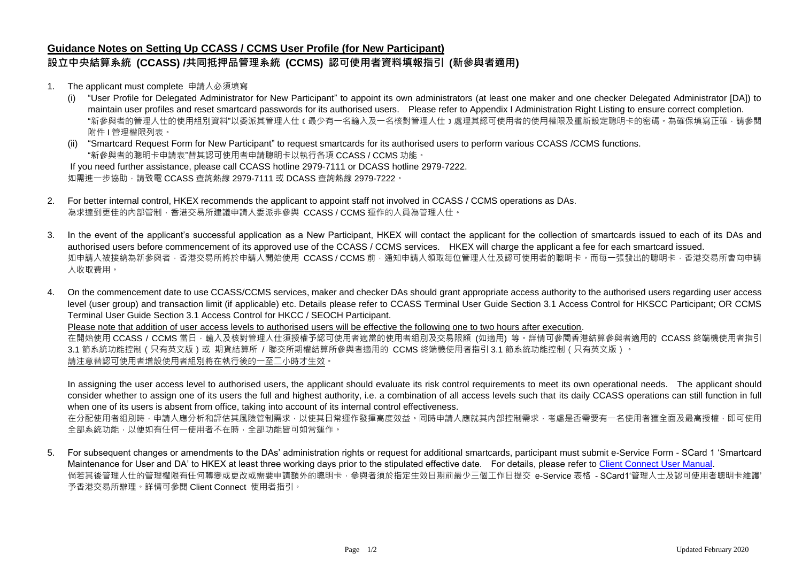## **Guidance Notes on Setting Up CCASS / CCMS User Profile (for New Participant) 設立中央結算系統 (CCASS) /共同抵押品管理系統 (CCMS) 認可使用者資料填報指引 (新參與者適用)**

- 1. The applicant must complete 申請人必須填寫
	- (i) "User Profile for Delegated Administrator for New Participant" to appoint its own administrators (at least one maker and one checker Delegated Administrator [DA]) to maintain user profiles and reset smartcard passwords for its authorised users. Please refer to Appendix I Administration Right Listing to ensure correct completion. "新參與者的管理人仕的使用組別資料"以委派其管理人仕﹝最少有一名輸入及一名核對管理人仕﹞處理其認可使用者的使用權限及重新設定聰明卡的密碼。為確保填寫正確,請參閱 附件 I 管理權限列表。

(ii) "Smartcard Request Form for New Participant" to request smartcards for its authorised users to perform various CCASS /CCMS functions. "新參與者的聰明卡申請表"替其認可使用者申請聰明卡以執行各項 CCASS / CCMS 功能。 If you need further assistance, please call CCASS hotline 2979-7111 or DCASS hotline 2979-7222. 如需進一步協助,請致電 CCASS 查詢熱線 2979-7111 或 DCASS 查詢熱線 2979-7222。

- 2. For better internal control, HKEX recommends the applicant to appoint staff not involved in CCASS / CCMS operations as DAs. 為求達到更佳的內部管制,香港交易所建議申請人委派非參與 CCASS / CCMS 運作的人員為管理人仕。
- 3. In the event of the applicant's successful application as a New Participant, HKEX will contact the applicant for the collection of smartcards issued to each of its DAs and authorised users before commencement of its approved use of the CCASS / CCMS services. HKEX will charge the applicant a fee for each smartcard issued. 如申請人被接納為新參與者,香港交易所將於申請人開始使用 CCASS/CCMS 前,通知申請人領取每位管理人仕及認可使用者的聰明卡。而每一張發出的聰明卡,香港交易所會向申請 人收取費用。
- 4. On the commencement date to use CCASS/CCMS services, maker and checker DAs should grant appropriate access authority to the authorised users regarding user access level (user group) and transaction limit (if applicable) etc. Details please refer to CCASS Terminal User Guide Section 3.1 Access Control for HKSCC Participant; OR CCMS Terminal User Guide Section 3.1 Access Control for HKCC / SEOCH Participant.

Please note that addition of user access levels to authorised users will be effective the following one to two hours after execution.

在開始使用 CCASS / CCMS 當日 ·輸入及核對管理人仕須授權予認可使用者適當的使用者組別及交易限額 (如適用) 等。詳情可參閱香港結算參與者適用的 CCASS 終端機使用者指引 3.1 節系統功能控制(只有英文版)或 期貨結算所 / 聯交所期權結算所參與者適用的 CCMS 終端機使用者指引 3.1 節系統功能控制 ( 只有英文版 ) 。 請注意替認可使用者增設使用者組別將在執行後的一至二小時才生效。

In assigning the user access level to authorised users, the applicant should evaluate its risk control requirements to meet its own operational needs. The applicant should consider whether to assign one of its users the full and highest authority, i.e. a combination of all access levels such that its daily CCASS operations can still function in full when one of its users is absent from office, taking into account of its internal control effectiveness.

在分配使用者組別時,申請人應分析和評估其風險管制需求,以使其日常運作發揮高度效益。同時申請人應就其內部控制需求,考慮是否需要有一名使用者獲全面及最高授權,即可使用 全部系統功能,以便如有任何一使用者不在時,全部功能皆可如常運作。

5. For subsequent changes or amendments to the DAs' administration rights or request for additional smartcards, participant must submit e-Service Form - SCard 1 'Smartcard Maintenance for User and DA' to HKEX at least three working days prior to the stipulated effective date. For details, please refer t[o Client Connect User Manual.](https://www.hkex.com.hk/Services/Next-Generation-Post-Trade-Programme/Client-Connect/User-Manual?sc_lang=en) 倘若其後管理人仕的管理權限有任何轉變或更改或需要申請額外的聰明卡,參與者須於指定生效日期前最少三個工作日提交 e-Service 表格 - SCard1'管理人士及認可使用者聰明卡維護' 予香港交易所辦理。詳情可參閱 Client Connect 使用者指引。